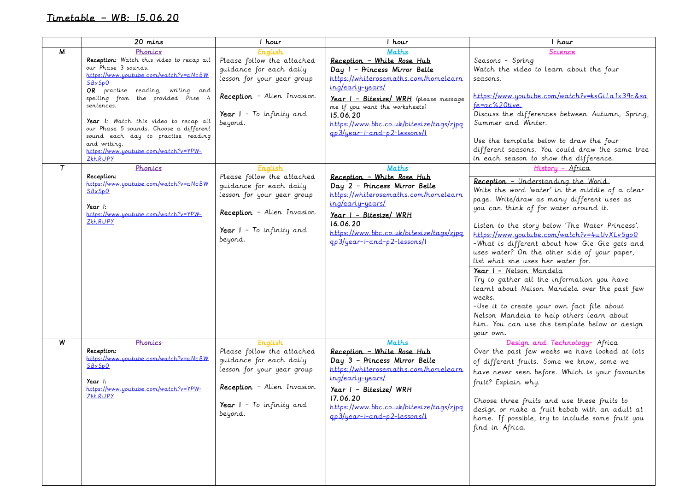## Timetable – WB: 15.06.20

|             | 20 mins                                                                                                                                                                                                                                                                                                                                                                                                                     | 1 hour                                                                                                                                                                           | 1 hour                                                                                                                                                                                                                                                                                                           | I hour                                                                                                                                                                                                                                                                                                                                                                                                                                                                                                                                                                                                                                                                                                              |
|-------------|-----------------------------------------------------------------------------------------------------------------------------------------------------------------------------------------------------------------------------------------------------------------------------------------------------------------------------------------------------------------------------------------------------------------------------|----------------------------------------------------------------------------------------------------------------------------------------------------------------------------------|------------------------------------------------------------------------------------------------------------------------------------------------------------------------------------------------------------------------------------------------------------------------------------------------------------------|---------------------------------------------------------------------------------------------------------------------------------------------------------------------------------------------------------------------------------------------------------------------------------------------------------------------------------------------------------------------------------------------------------------------------------------------------------------------------------------------------------------------------------------------------------------------------------------------------------------------------------------------------------------------------------------------------------------------|
| M<br>$\tau$ | Phonics<br>Reception: Watch this video to recap all<br>our Phase 3 sounds.<br>https://www.youtube.com/watch?v=aNcBW<br>SBxSp0<br>OR practise reading, writing and<br>spelling from the provided Phse 4<br>sentences.<br>Year I: Watch this video to recap all<br>our Phase 5 sounds. Choose a different<br>sound each day to practise reading<br>and writing.<br>https://www.youtube.com/watch?v=YPW-<br>ZkhRUPY<br>Phonics | English<br>Please follow the attached<br>guidance for each daily<br>lesson for your year group<br>Reception - Alien Invasion<br>Year $I - To$ infinity and<br>beyond.<br>English | Maths<br>Reception - White Rose Hub<br>Day I - Princess Mirror Belle<br>https://whiterosemaths.com/homelearn<br>ing/early-years/<br>Year I - Bitesize/ WRH (please message<br>me if you want the worksheets)<br>15.06.20<br>https://www.bbc.co.uk/bitesize/tags/zjpg<br>$a p 3/year-l-and-p2-lessons/l$<br>Maths | Science<br>Seasons - Spring<br>Watch the video to learn about the four<br>seasons.<br>https://www.youtube.com/watch?v=ksGiLaIx39c&sa<br>fe=ac%20tive.<br>Discuss the differences between Autumn, Spring,<br>Summer and Winter.<br>Use the template below to draw the four<br>different seasons. You could draw the same tree<br>in each season to show the difference.<br>History - Africa                                                                                                                                                                                                                                                                                                                          |
|             | Reception:<br>https://www.youtube.com/watch?v=aNcBW<br><b>SBxSpQ</b><br>Year I:<br>https://www.youtube.com/watch?v=YPW-<br>ZkhRUPY                                                                                                                                                                                                                                                                                          | Please follow the attached<br>guidance for each daily<br>lesson for your year group<br>Reception - Alien Invasion<br>Year $I - To$ infinity and<br>beyond.                       | Reception - White Rose Hub<br>Day 2 - Princess Mirror Belle<br>https://whiterosemaths.com/homelearn<br>ing/early-years/<br>$Year$   - Bitesize/ WRH<br>16.06.20<br>https://www.bbc.co.uk/bitesize/tags/zipq<br>ap3/year-l-and-p2-lessons/                                                                        | Reception - Understanding the World.<br>Write the word 'water' in the middle of a clear<br>page. Write/draw as many different uses as<br>you can think of for water around it.<br>Listen to the story below 'The Water Princess'.<br>https://www.youtube.com/watch?v=4uUvXLv5go0<br>-What is different about how Gie Gie gets and<br>uses water? On the other side of your paper,<br>list what she uses her water for.<br>Year I - Nelson Mandela<br>Try to gather all the information you have<br>learnt about Nelson Mandela over the past few<br>weeks.<br>-Use it to create your own fact file about<br>Nelson Mandela to help others learn about<br>him. You can use the template below or design<br>your own. |
| W           | Phonics<br>Reception:<br>https://www.youtube.com/watch?v=aNcBW<br>SBxSpO<br>Year I:<br>https://www.youtube.com/watch?v=YPW-<br>ZkhRUPY                                                                                                                                                                                                                                                                                      | English<br>Please follow the attached<br>guidance for each daily<br>lesson for your year group<br>Reception - Alien Invasion<br>Year $I - To$ infinity and<br>beyond.            | Maths<br>Reception - White Rose Hub<br>Day 3 - Princess Mirror Belle<br>https://whiterosemaths.com/homelearn<br>ing/early-years/<br>Year I - Bitesize/ WRH<br>17.06.20<br>https://www.bbc.co.uk/bitesize/tags/zjpg<br>$qp3/year-l-and-p2-lessons/l$                                                              | Design and Technology- Africa<br>Over the past few weeks we have looked at lots<br>of different fruits. Some we know, some we<br>have never seen before. Which is your favourite<br>fruit? Explain why.<br>Choose three fruits and use these fruits to<br>design or make a fruit kebab with an adult at<br>home. If possible, try to include some fruit you<br>find in Africa.                                                                                                                                                                                                                                                                                                                                      |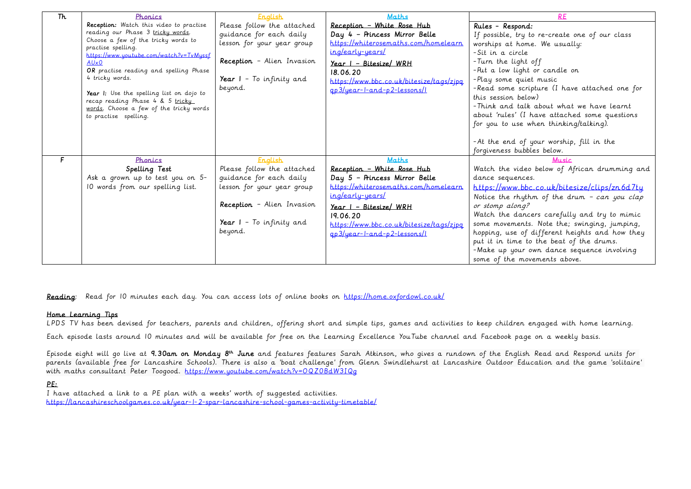| Th | Phonics                                        | <b>English</b>                    | <b>Maths</b>                             | <b>RE</b>                                      |
|----|------------------------------------------------|-----------------------------------|------------------------------------------|------------------------------------------------|
|    | Reception: Watch this video to practise        | Please follow the attached        | Reception - White Rose Hub               | Rules - Respond:                               |
|    | reading our Phase 3 tricky words.              | guidance for each daily           | Day 4 - Princess Mirror Belle            | If possible, try to re-create one of our class |
|    | Choose a few of the tricky words to            | lesson for your year group        | https://whiterosemaths.com/homelearn     | worships at home. We usually:                  |
|    | practise spelling.                             |                                   | ing/early-years/                         | -Sit in a circle                               |
|    | https://www.youtube.com/watch?v=TvMyssf        | Reception - Alien Invasion        |                                          | -Turn the light off                            |
|    | AUx0<br>OR practise reading and spelling Phase |                                   | Year I - Bitesize/ WRH                   | -Put a low light or candle on                  |
|    | 4 tricky words.                                | Year $I - To$ infinity and        | 18.06.20                                 |                                                |
|    |                                                | beyond.                           | https://www.bbc.co.uk/bitesize/tags/zjpq | -Play some quiet music                         |
|    | Year I: Use the spelling list on dojo to       |                                   | gp3/year-l-and-p2-lessons/l              | -Read some scripture (I have attached one for  |
|    | recap reading Phase 4 & 5 tricky               |                                   |                                          | this session below)                            |
|    | words. Choose a few of the tricky words        |                                   |                                          | - Think and talk about what we have learnt     |
|    | to practise spelling.                          |                                   |                                          | about 'rules' (I have attached some questions  |
|    |                                                |                                   |                                          | for you to use when thinking/talking).         |
|    |                                                |                                   |                                          |                                                |
|    |                                                |                                   |                                          | -At the end of your worship, fill in the       |
|    |                                                |                                   |                                          | forgiveness bubbles below.                     |
| F. | Phonics                                        | <b>English</b>                    | <b>Maths</b>                             | <b>Music</b>                                   |
|    | Spelling Test                                  | Please follow the attached        | Reception - White Rose Hub               | Watch the video below of African drumming and  |
|    | Ask a grown up to test you on 5-               | quidance for each daily           | Day 5 - Princess Mirror Belle            | dance sequences.                               |
|    | 10 words from our spelling list.               | lesson for your year group        | https://whiterosemaths.com/homelearn     | https://www.bbc.co.uk/bitesize/clips/zn6d7ty   |
|    |                                                |                                   | ing/early-years/                         | Notice the rhythm of the drum - can you clap   |
|    |                                                | <b>Reception</b> - Alien Invasion | <u> Year I - Bitesize/ WRH</u>           | or stomp along?                                |
|    |                                                |                                   | 19.06.20                                 | Watch the dancers carefully and try to mimic   |
|    |                                                | Year $I - To$ infinity and        | https://www.bbc.co.uk/bitesize/tags/zjpq | some movements. Note the; swinging, jumping,   |
|    |                                                | beyond.                           | ap3/year-l-and-p2-lessons/l              | hopping, use of different heights and how they |
|    |                                                |                                   |                                          | put it in time to the beat of the drums.       |
|    |                                                |                                   |                                          | -Make up your own dance sequence involving     |
|    |                                                |                                   |                                          | some of the movements above.                   |

Reading: Read for 10 minutes each day. You can access lots of online books on<https://home.oxfordowl.co.uk/>

### Home Learning Tips

LPDS TV has been devised for teachers, parents and children, offering short and simple tips, games and activities to keep children engaged with home learning.

Each episode lasts around 10 minutes and will be available for free on the Learning Excellence YouTube channel and Facebook page on a weekly basis.

Episode eight will go live at 9.30am on Monday 8<sup>th</sup> June and features features Sarah Atkinson, who gives a rundown of the English Read and Respond units for parents (available free for Lancashire Schools). There is also a 'boat challenge' from Glenn Swindlehurst at Lancashire Outdoor Education and the game 'solitaire' with maths consultant Peter Toogood. https://www.youtube.com/watch?v=OQZ0BdW3IQq

## PE:

I have attached a link to a PE plan with a weeks' worth of suggested activities. <https://lancashireschoolgames.co.uk/year-1-2-spar-lancashire-school-games-activity-timetable/>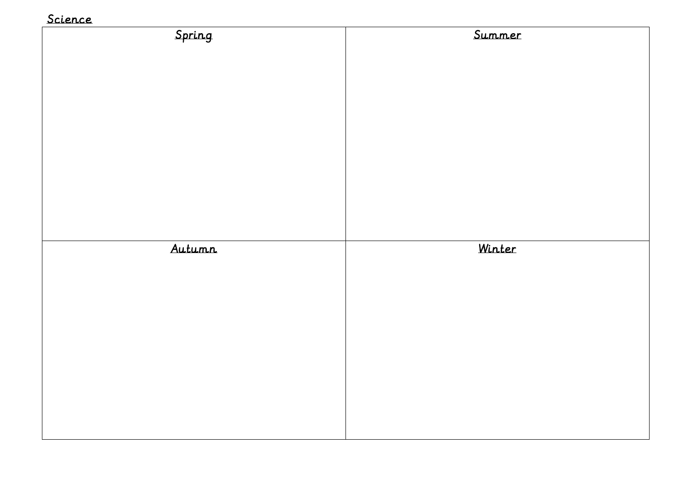## Science

| Spring | Summer |
|--------|--------|
|        |        |
|        |        |
|        |        |
|        |        |
|        |        |
|        |        |
|        |        |
|        |        |
|        |        |
|        |        |
|        |        |
| Autumn | Winter |
|        |        |
|        |        |
|        |        |
|        |        |
|        |        |
|        |        |
|        |        |
|        |        |
|        |        |
|        |        |
|        |        |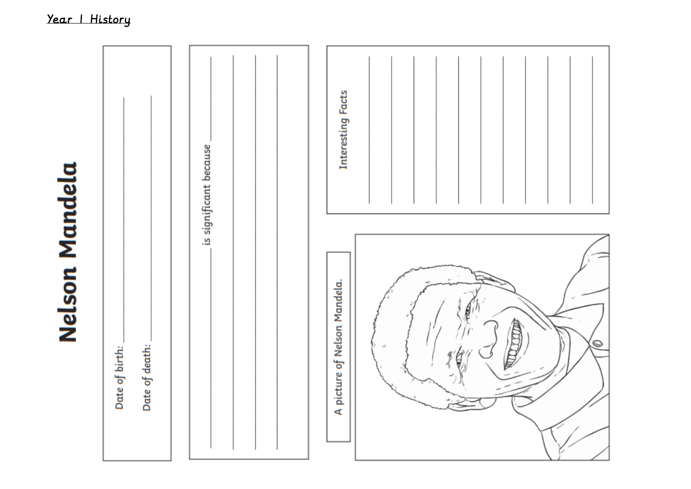# **Nelson Mandela**

|                                  |  | is significant because       |        | Interesting Facts |  |
|----------------------------------|--|------------------------------|--------|-------------------|--|
| Date of death:<br>Date of birth: |  | A picture of Nelson Mandela. | 詹<br>O |                   |  |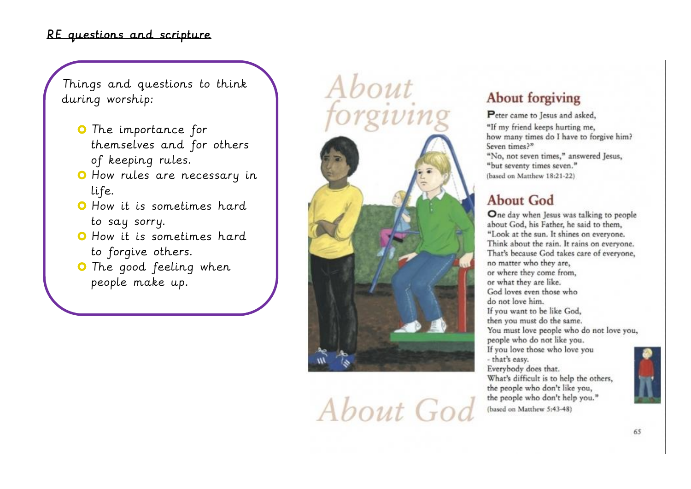## RE questions and scripture

Things and questions to think during worship:

- **O** The importance for themselves and for others of keeping rules.
- O How rules are necessary in life.
- **O** How it is sometimes hard to say sorry.
- **O** How it is sometimes hard to forgive others.
- **O** The good feeling when people make up.



About God

# **About forgiving**

Peter came to Jesus and asked, "If my friend keeps hurting me, how many times do I have to forgive him? Seven times?" "No, not seven times," answered Jesus, "but seventy times seven." (based on Matthew 18:21-22)

# **About God**

One day when Jesus was talking to people about God, his Father, he said to them, "Look at the sun. It shines on everyone. Think about the rain. It rains on everyone. That's because God takes care of everyone, no matter who they are. or where they come from. or what they are like. God loves even those who do not love him. If you want to be like God, then you must do the same. You must love people who do not love you, people who do not like you. If you love those who love you - that's easy. Everybody does that. What's difficult is to help the others. the people who don't like you, the people who don't help you."

(based on Matthew 5:43-48)